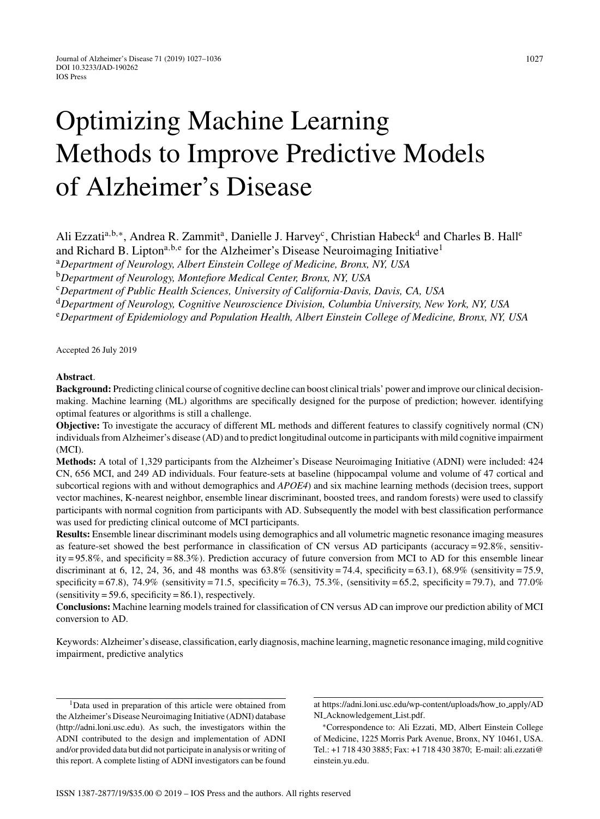# Optimizing Machine Learning Methods to Improve Predictive Models of Alzheimer's Disease

Ali Ezzati<sup>a,b,∗</sup>, Andrea R. Zammit<sup>a</sup>, Danielle J. Harvey<sup>c</sup>, Christian Habeck<sup>d</sup> and Charles B. Hall<sup>e</sup> and Richard B. Lipton<sup>a, b, e</sup> for the Alzheimer's Disease Neuroimaging Initiative<sup>1</sup>

<sup>a</sup>*Department of Neurology, Albert Einstein College of Medicine, Bronx, NY, USA*

<sup>b</sup>*Department of Neurology, Montefiore Medical Center, Bronx, NY, USA*

<sup>c</sup>*Department of Public Health Sciences, University of California-Davis, Davis, CA, USA*

<sup>d</sup>*Department of Neurology, Cognitive Neuroscience Division, Columbia University, New York, NY, USA*

<sup>e</sup>*Department of Epidemiology and Population Health, Albert Einstein College of Medicine, Bronx, NY, USA*

Accepted 26 July 2019

# **Abstract**.

**Background:** Predicting clinical course of cognitive decline can boost clinical trials' power and improve our clinical decisionmaking. Machine learning (ML) algorithms are specifically designed for the purpose of prediction; however. identifying optimal features or algorithms is still a challenge.

**Objective:** To investigate the accuracy of different ML methods and different features to classify cognitively normal (CN) individuals from Alzheimer's disease (AD) and to predict longitudinal outcome in participants with mild cognitive impairment (MCI).

**Methods:** A total of 1,329 participants from the Alzheimer's Disease Neuroimaging Initiative (ADNI) were included: 424 CN, 656 MCI, and 249 AD individuals. Four feature-sets at baseline (hippocampal volume and volume of 47 cortical and subcortical regions with and without demographics and *APOE4*) and six machine learning methods (decision trees, support vector machines, K-nearest neighbor, ensemble linear discriminant, boosted trees, and random forests) were used to classify participants with normal cognition from participants with AD. Subsequently the model with best classification performance was used for predicting clinical outcome of MCI participants.

**Results:** Ensemble linear discriminant models using demographics and all volumetric magnetic resonance imaging measures as feature-set showed the best performance in classification of CN versus AD participants (accuracy = 92.8%, sensitivity = 95.8%, and specificity = 88.3%). Prediction accuracy of future conversion from MCI to AD for this ensemble linear discriminant at 6, 12, 24, 36, and 48 months was  $63.8\%$  (sensitivity = 74.4, specificity = 63.1),  $68.9\%$  (sensitivity = 75.9, specificity = 67.8), 74.9% (sensitivity = 71.5, specificity = 76.3), 75.3%, (sensitivity = 65.2, specificity = 79.7), and 77.0%  $(sensitivity = 59.6, specificity = 86.1)$ , respectively.

**Conclusions:** Machine learning models trained for classification of CN versus AD can improve our prediction ability of MCI conversion to AD.

Keywords: Alzheimer's disease, classification, early diagnosis, machine learning, magnetic resonance imaging, mild cognitive impairment, predictive analytics

<sup>&</sup>lt;sup>1</sup>Data used in preparation of this article were obtained from the Alzheimer's Disease Neuroimaging Initiative (ADNI) database ([http://adni.loni.usc.edu\)](http://adni.loni.usc.edu). As such, the investigators within the ADNI contributed to the design and implementation of ADNI and/or provided data but did not participate in analysis or writing of this report. A complete listing of ADNI investigators can be found

at [https://adni.loni.usc.edu/wp-content/uploads/how](https://adni.loni.usc.edu/wp-content/uploads/how_to_apply/ADNI_Acknowledgement_List.pdf) to apply/AD NI [Acknowledgement](https://adni.loni.usc.edu/wp-content/uploads/how_to_apply/ADNI_Acknowledgement_List.pdf) List.pdf.

<sup>∗</sup>Correspondence to: Ali Ezzati, MD, Albert Einstein College of Medicine, 1225 Morris Park Avenue, Bronx, NY 10461, USA. Tel.: +1 718 430 3885; Fax: +1 718 430 3870; E-mail: [ali.ezzati@](mailto:ali.ezzati@{penalty -@M }einstein.yu.edu) einstein.yu.edu.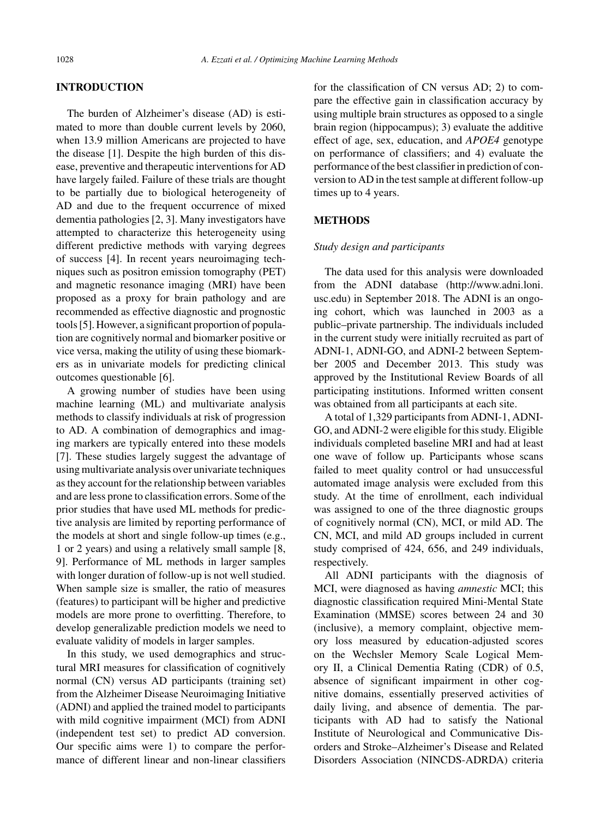## **INTRODUCTION**

The burden of Alzheimer's disease (AD) is estimated to more than double current levels by 2060, when 13.9 million Americans are projected to have the disease [1]. Despite the high burden of this disease, preventive and therapeutic interventions for AD have largely failed. Failure of these trials are thought to be partially due to biological heterogeneity of AD and due to the frequent occurrence of mixed dementia pathologies [2, 3]. Many investigators have attempted to characterize this heterogeneity using different predictive methods with varying degrees of success [4]. In recent years neuroimaging techniques such as positron emission tomography (PET) and magnetic resonance imaging (MRI) have been proposed as a proxy for brain pathology and are recommended as effective diagnostic and prognostic tools [5]. However, a significant proportion of population are cognitively normal and biomarker positive or vice versa, making the utility of using these biomarkers as in univariate models for predicting clinical outcomes questionable [6].

A growing number of studies have been using machine learning (ML) and multivariate analysis methods to classify individuals at risk of progression to AD. A combination of demographics and imaging markers are typically entered into these models [7]. These studies largely suggest the advantage of using multivariate analysis over univariate techniques as they account for the relationship between variables and are less prone to classification errors. Some of the prior studies that have used ML methods for predictive analysis are limited by reporting performance of the models at short and single follow-up times (e.g., 1 or 2 years) and using a relatively small sample [8, 9]. Performance of ML methods in larger samples with longer duration of follow-up is not well studied. When sample size is smaller, the ratio of measures (features) to participant will be higher and predictive models are more prone to overfitting. Therefore, to develop generalizable prediction models we need to evaluate validity of models in larger samples.

In this study, we used demographics and structural MRI measures for classification of cognitively normal (CN) versus AD participants (training set) from the Alzheimer Disease Neuroimaging Initiative (ADNI) and applied the trained model to participants with mild cognitive impairment (MCI) from ADNI (independent test set) to predict AD conversion. Our specific aims were 1) to compare the performance of different linear and non-linear classifiers

for the classification of CN versus AD; 2) to compare the effective gain in classification accuracy by using multiple brain structures as opposed to a single brain region (hippocampus); 3) evaluate the additive effect of age, sex, education, and *APOE4* genotype on performance of classifiers; and 4) evaluate the performance of the best classifier in prediction of conversion to AD in the test sample at different follow-up times up to 4 years.

## **METHODS**

## *Study design and participants*

The data used for this analysis were downloaded from the ADNI database [\(http://www.adni.loni.](http://www.adni.loni.usc.edu) usc.edu) in September 2018. The ADNI is an ongoing cohort, which was launched in 2003 as a public–private partnership. The individuals included in the current study were initially recruited as part of ADNI-1, ADNI-GO, and ADNI-2 between September 2005 and December 2013. This study was approved by the Institutional Review Boards of all participating institutions. Informed written consent was obtained from all participants at each site.

A total of 1,329 participants from ADNI-1, ADNI-GO, and ADNI-2 were eligible for this study. Eligible individuals completed baseline MRI and had at least one wave of follow up. Participants whose scans failed to meet quality control or had unsuccessful automated image analysis were excluded from this study. At the time of enrollment, each individual was assigned to one of the three diagnostic groups of cognitively normal (CN), MCI, or mild AD. The CN, MCI, and mild AD groups included in current study comprised of 424, 656, and 249 individuals, respectively.

All ADNI participants with the diagnosis of MCI, were diagnosed as having *amnestic* MCI; this diagnostic classification required Mini-Mental State Examination (MMSE) scores between 24 and 30 (inclusive), a memory complaint, objective memory loss measured by education-adjusted scores on the Wechsler Memory Scale Logical Memory II, a Clinical Dementia Rating (CDR) of 0.5, absence of significant impairment in other cognitive domains, essentially preserved activities of daily living, and absence of dementia. The participants with AD had to satisfy the National Institute of Neurological and Communicative Disorders and Stroke–Alzheimer's Disease and Related Disorders Association (NINCDS-ADRDA) criteria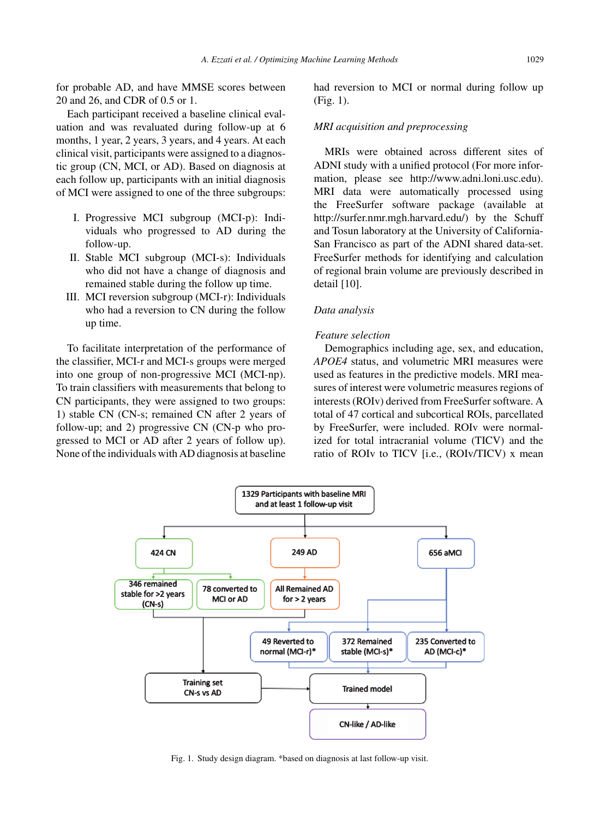for probable AD, and have MMSE scores between 20 and 26, and CDR of 0.5 or 1.

Each participant received a baseline clinical evaluation and was revaluated during follow-up at 6 months, 1 year, 2 years, 3 years, and 4 years. At each clinical visit, participants were assigned to a diagnostic group (CN, MCI, or AD). Based on diagnosis at each follow up, participants with an initial diagnosis of MCI were assigned to one of the three subgroups:

- I. Progressive MCI subgroup (MCI-p): Individuals who progressed to AD during the follow-up.
- II. Stable MCI subgroup (MCI-s): Individuals who did not have a change of diagnosis and remained stable during the follow up time.
- III. MCI reversion subgroup (MCI-r): Individuals who had a reversion to CN during the follow up time.

To facilitate interpretation of the performance of the classifier, MCI-r and MCI-s groups were merged into one group of non-progressive MCI (MCI-np). To train classifiers with measurements that belong to CN participants, they were assigned to two groups: 1) stable CN (CN-s; remained CN after 2 years of follow-up; and 2) progressive CN (CN-p who progressed to MCI or AD after 2 years of follow up). None of the individuals with AD diagnosis at baseline

had reversion to MCI or normal during follow up (Fig. 1).

# *MRI acquisition and preprocessing*

MRIs were obtained across different sites of ADNI study with a unified protocol (For more information, please see<http://www.adni.loni.usc.edu>). MRI data were automatically processed using the FreeSurfer software package (available at [http://surfer.nmr.mgh.harvard.edu/\)](http://surfer.nmr.mgh.harvard.edu/) by the Schuff and Tosun laboratory at the University of California-San Francisco as part of the ADNI shared data-set. FreeSurfer methods for identifying and calculation of regional brain volume are previously described in detail [10].

## *Data analysis*

#### *Feature selection*

Demographics including age, sex, and education, *APOE4* status, and volumetric MRI measures were used as features in the predictive models. MRI measures of interest were volumetric measures regions of interests (ROIv) derived from FreeSurfer software. A total of 47 cortical and subcortical ROIs, parcellated by FreeSurfer, were included. ROIv were normalized for total intracranial volume (TICV) and the ratio of ROIv to TICV [i.e., (ROIv/TICV) x mean



Fig. 1. Study design diagram. \*based on diagnosis at last follow-up visit.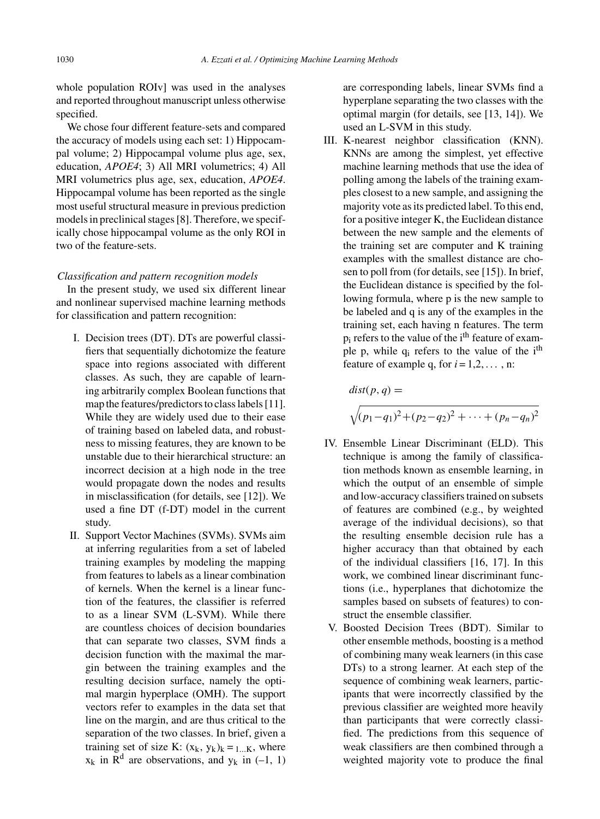whole population ROIv] was used in the analyses and reported throughout manuscript unless otherwise specified.

We chose four different feature-sets and compared the accuracy of models using each set: 1) Hippocampal volume; 2) Hippocampal volume plus age, sex, education, *APOE4*; 3) All MRI volumetrics; 4) All MRI volumetrics plus age, sex, education, *APOE4*. Hippocampal volume has been reported as the single most useful structural measure in previous prediction models in preclinical stages [8]. Therefore, we specifically chose hippocampal volume as the only ROI in two of the feature-sets.

## *Classification and pattern recognition models*

In the present study, we used six different linear and nonlinear supervised machine learning methods for classification and pattern recognition:

- I. Decision trees (DT). DTs are powerful classifiers that sequentially dichotomize the feature space into regions associated with different classes. As such, they are capable of learning arbitrarily complex Boolean functions that map the features/predictors to class labels [11]. While they are widely used due to their ease of training based on labeled data, and robustness to missing features, they are known to be unstable due to their hierarchical structure: an incorrect decision at a high node in the tree would propagate down the nodes and results in misclassification (for details, see [12]). We used a fine DT (f-DT) model in the current study.
- II. Support Vector Machines (SVMs). SVMs aim at inferring regularities from a set of labeled training examples by modeling the mapping from features to labels as a linear combination of kernels. When the kernel is a linear function of the features, the classifier is referred to as a linear SVM (L-SVM). While there are countless choices of decision boundaries that can separate two classes, SVM finds a decision function with the maximal the margin between the training examples and the resulting decision surface, namely the optimal margin hyperplace (OMH). The support vectors refer to examples in the data set that line on the margin, and are thus critical to the separation of the two classes. In brief, given a training set of size K:  $(x_k, y_k)_k = 1...k$ , where  $x_k$  in R<sup>d</sup> are observations, and  $y_k$  in (-1, 1)

are corresponding labels, linear SVMs find a hyperplane separating the two classes with the optimal margin (for details, see [13, 14]). We used an L-SVM in this study.

III. K-nearest neighbor classification (KNN). KNNs are among the simplest, yet effective machine learning methods that use the idea of polling among the labels of the training examples closest to a new sample, and assigning the majority vote as its predicted label. To this end, for a positive integer K, the Euclidean distance between the new sample and the elements of the training set are computer and K training examples with the smallest distance are chosen to poll from (for details, see [15]). In brief, the Euclidean distance is specified by the following formula, where p is the new sample to be labeled and q is any of the examples in the training set, each having n features. The term  $p_i$  refers to the value of the i<sup>th</sup> feature of example p, while  $q_i$  refers to the value of the  $i<sup>th</sup>$ feature of example q, for  $i = 1, 2, \ldots, n$ :

$$
dist(p, q) =
$$
  
\n
$$
\sqrt{(p_1 - q_1)^2 + (p_2 - q_2)^2 + \dots + (p_n - q_n)^2}
$$

- IV. Ensemble Linear Discriminant (ELD). This technique is among the family of classification methods known as ensemble learning, in which the output of an ensemble of simple and low-accuracy classifiers trained on subsets of features are combined (e.g., by weighted average of the individual decisions), so that the resulting ensemble decision rule has a higher accuracy than that obtained by each of the individual classifiers [16, 17]. In this work, we combined linear discriminant functions (i.e., hyperplanes that dichotomize the samples based on subsets of features) to construct the ensemble classifier.
- V. Boosted Decision Trees (BDT). Similar to other ensemble methods, boosting is a method of combining many weak learners (in this case DTs) to a strong learner. At each step of the sequence of combining weak learners, participants that were incorrectly classified by the previous classifier are weighted more heavily than participants that were correctly classified. The predictions from this sequence of weak classifiers are then combined through a weighted majority vote to produce the final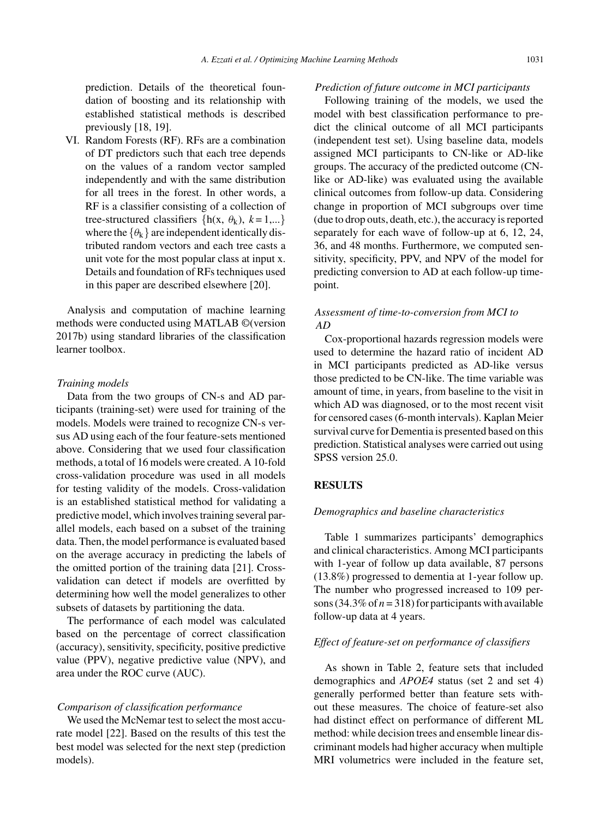prediction. Details of the theoretical foundation of boosting and its relationship with established statistical methods is described previously [18, 19].

VI. Random Forests (RF). RFs are a combination of DT predictors such that each tree depends on the values of a random vector sampled independently and with the same distribution for all trees in the forest. In other words, a RF is a classifier consisting of a collection of tree-structured classifiers  $\{h(x, \theta_k), k=1,...\}$ where the  $\{\theta_k\}$  are independent identically distributed random vectors and each tree casts a unit vote for the most popular class at input x. Details and foundation of RFs techniques used in this paper are described elsewhere [20].

Analysis and computation of machine learning methods were conducted using MATLAB ©(version 2017b) using standard libraries of the classification learner toolbox.

## *Training models*

Data from the two groups of CN-s and AD participants (training-set) were used for training of the models. Models were trained to recognize CN-s versus AD using each of the four feature-sets mentioned above. Considering that we used four classification methods, a total of 16 models were created. A 10-fold cross-validation procedure was used in all models for testing validity of the models. Cross-validation is an established statistical method for validating a predictive model, which involves training several parallel models, each based on a subset of the training data. Then, the model performance is evaluated based on the average accuracy in predicting the labels of the omitted portion of the training data [21]. Crossvalidation can detect if models are overfitted by determining how well the model generalizes to other subsets of datasets by partitioning the data.

The performance of each model was calculated based on the percentage of correct classification (accuracy), sensitivity, specificity, positive predictive value (PPV), negative predictive value (NPV), and area under the ROC curve (AUC).

## *Comparison of classification performance*

We used the McNemar test to select the most accurate model [22]. Based on the results of this test the best model was selected for the next step (prediction models).

# *Prediction of future outcome in MCI participants*

Following training of the models, we used the model with best classification performance to predict the clinical outcome of all MCI participants (independent test set). Using baseline data, models assigned MCI participants to CN-like or AD-like groups. The accuracy of the predicted outcome (CNlike or AD-like) was evaluated using the available clinical outcomes from follow-up data. Considering change in proportion of MCI subgroups over time (due to drop outs, death, etc.), the accuracy is reported separately for each wave of follow-up at 6, 12, 24, 36, and 48 months. Furthermore, we computed sensitivity, specificity, PPV, and NPV of the model for predicting conversion to AD at each follow-up timepoint.

# *Assessment of time-to-conversion from MCI to AD*

Cox-proportional hazards regression models were used to determine the hazard ratio of incident AD in MCI participants predicted as AD-like versus those predicted to be CN-like. The time variable was amount of time, in years, from baseline to the visit in which AD was diagnosed, or to the most recent visit for censored cases (6-month intervals). Kaplan Meier survival curve for Dementia is presented based on this prediction. Statistical analyses were carried out using SPSS version 25.0.

#### **RESULTS**

### *Demographics and baseline characteristics*

Table 1 summarizes participants' demographics and clinical characteristics. Among MCI participants with 1-year of follow up data available, 87 persons (13.8%) progressed to dementia at 1-year follow up. The number who progressed increased to 109 persons  $(34.3\% \text{ of } n = 318)$  for participants with available follow-up data at 4 years.

#### *Effect of feature-set on performance of classifiers*

As shown in Table 2, feature sets that included demographics and *APOE4* status (set 2 and set 4) generally performed better than feature sets without these measures. The choice of feature-set also had distinct effect on performance of different ML method: while decision trees and ensemble linear discriminant models had higher accuracy when multiple MRI volumetrics were included in the feature set,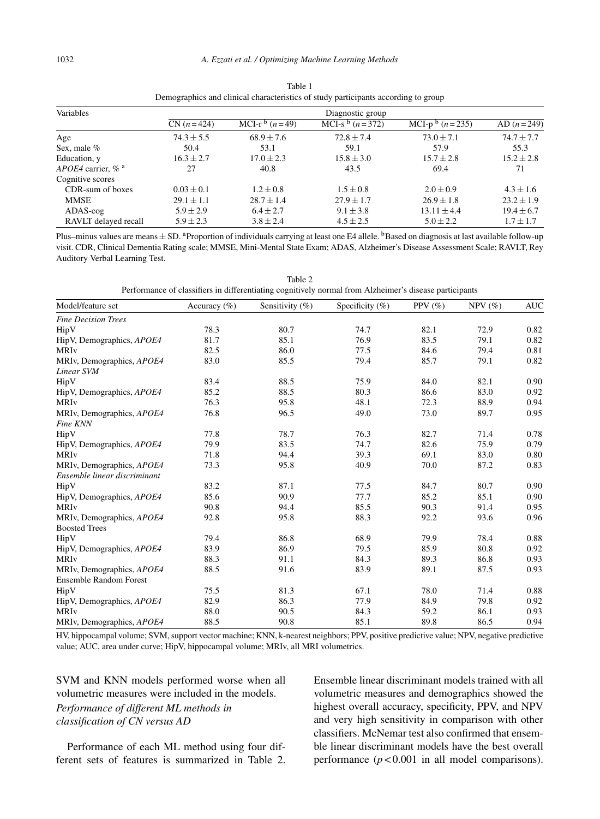| Variables                       |                |                             | Diagnostic group             |                              |                |
|---------------------------------|----------------|-----------------------------|------------------------------|------------------------------|----------------|
|                                 | $CN (n=424)$   | MCI-r <sup>b</sup> $(n=49)$ | MCI-s <sup>b</sup> $(n=372)$ | MCI-p <sup>b</sup> $(n=235)$ | $AD (n = 249)$ |
| Age                             | $74.3 \pm 5.5$ | $68.9 \pm 7.6$              | $72.8 \pm 7.4$               | $73.0 \pm 7.1$               | $74.7 \pm 7.7$ |
| Sex, male %                     | 50.4           | 53.1                        | 59.1                         | 57.9                         | 55.3           |
| Education, y                    | $16.3 \pm 2.7$ | $17.0 \pm 2.3$              | $15.8 \pm 3.0$               | $15.7 \pm 2.8$               | $15.2 \pm 2.8$ |
| APOE4 carrier, $%$ <sup>a</sup> | 27             | 40.8                        | 43.5                         | 69.4                         | 71             |
| Cognitive scores                |                |                             |                              |                              |                |
| CDR-sum of boxes                | $0.03 \pm 0.1$ | $1.2 \pm 0.8$               | $1.5 \pm 0.8$                | $2.0 \pm 0.9$                | $4.3 \pm 1.6$  |
| MMSE                            | $29.1 \pm 1.1$ | $28.7 \pm 1.4$              | $27.9 \pm 1.7$               | $26.9 \pm 1.8$               | $23.2 \pm 1.9$ |
| ADAS-cog                        | $5.9 \pm 2.9$  | $6.4 \pm 2.7$               | $9.1 \pm 3.8$                | $13.11 \pm 4.4$              | $19.4 \pm 6.7$ |
| RAVLT delayed recall            | $5.9 \pm 2.3$  | $3.8 \pm 2.4$               | $4.5 \pm 2.5$                | $5.0 \pm 2.2$                | $1.7 \pm 1.7$  |

Table 1 Demographics and clinical characteristics of study participants according to group

Plus–minus values are means  $\pm$  SD. <sup>a</sup> Proportion of individuals carrying at least one E4 allele. **b**Based on diagnosis at last available follow-up visit. CDR, Clinical Dementia Rating scale; MMSE, Mini-Mental State Exam; ADAS, Alzheimer's Disease Assessment Scale; RAVLT, Rey Auditory Verbal Learning Test.

Table 2 Performance of classifiers in differentiating cognitively normal from Alzheimer's disease participants

| Model/feature set             | Accuracy $(\% )$ | Sensitivity $(\% )$ | Specificity $(\%)$ | PPV $(\% )$ | $NPV$ (%) | <b>AUC</b> |
|-------------------------------|------------------|---------------------|--------------------|-------------|-----------|------------|
| <b>Fine Decision Trees</b>    |                  |                     |                    |             |           |            |
| HipV                          | 78.3             | 80.7                | 74.7               | 82.1        | 72.9      | 0.82       |
| HipV, Demographics, APOE4     | 81.7             | 85.1                | 76.9               | 83.5        | 79.1      | 0.82       |
| <b>MRI</b> <sub>v</sub>       | 82.5             | 86.0                | 77.5               | 84.6        | 79.4      | 0.81       |
| MRIv, Demographics, APOE4     | 83.0             | 85.5                | 79.4               | 85.7        | 79.1      | 0.82       |
| Linear SVM                    |                  |                     |                    |             |           |            |
| HipV                          | 83.4             | 88.5                | 75.9               | 84.0        | 82.1      | 0.90       |
| HipV, Demographics, APOE4     | 85.2             | 88.5                | 80.3               | 86.6        | 83.0      | 0.92       |
| <b>MRI</b> <sub>v</sub>       | 76.3             | 95.8                | 48.1               | 72.3        | 88.9      | 0.94       |
| MRIv, Demographics, APOE4     | 76.8             | 96.5                | 49.0               | 73.0        | 89.7      | 0.95       |
| Fine KNN                      |                  |                     |                    |             |           |            |
| HipV                          | 77.8             | 78.7                | 76.3               | 82.7        | 71.4      | 0.78       |
| HipV, Demographics, APOE4     | 79.9             | 83.5                | 74.7               | 82.6        | 75.9      | 0.79       |
| <b>MRIv</b>                   | 71.8             | 94.4                | 39.3               | 69.1        | 83.0      | 0.80       |
| MRIv, Demographics, APOE4     | 73.3             | 95.8                | 40.9               | 70.0        | 87.2      | 0.83       |
| Ensemble linear discriminant  |                  |                     |                    |             |           |            |
| HipV                          | 83.2             | 87.1                | 77.5               | 84.7        | 80.7      | 0.90       |
| HipV, Demographics, APOE4     | 85.6             | 90.9                | 77.7               | 85.2        | 85.1      | 0.90       |
| <b>MRI</b> <sub>v</sub>       | 90.8             | 94.4                | 85.5               | 90.3        | 91.4      | 0.95       |
| MRIv, Demographics, APOE4     | 92.8             | 95.8                | 88.3               | 92.2        | 93.6      | 0.96       |
| <b>Boosted Trees</b>          |                  |                     |                    |             |           |            |
| HipV                          | 79.4             | 86.8                | 68.9               | 79.9        | 78.4      | 0.88       |
| HipV, Demographics, APOE4     | 83.9             | 86.9                | 79.5               | 85.9        | 80.8      | 0.92       |
| <b>MRI</b> <sub>v</sub>       | 88.3             | 91.1                | 84.3               | 89.3        | 86.8      | 0.93       |
| MRIv, Demographics, APOE4     | 88.5             | 91.6                | 83.9               | 89.1        | 87.5      | 0.93       |
| <b>Ensemble Random Forest</b> |                  |                     |                    |             |           |            |
| HipV                          | 75.5             | 81.3                | 67.1               | 78.0        | 71.4      | 0.88       |
| HipV, Demographics, APOE4     | 82.9             | 86.3                | 77.9               | 84.9        | 79.8      | 0.92       |
| <b>MRI</b> <sub>v</sub>       | 88.0             | 90.5                | 84.3               | 59.2        | 86.1      | 0.93       |
| MRIv, Demographics, APOE4     | 88.5             | 90.8                | 85.1               | 89.8        | 86.5      | 0.94       |

HV, hippocampal volume; SVM, support vector machine; KNN, k-nearest neighbors; PPV, positive predictive value; NPV, negative predictive value; AUC, area under curve; HipV, hippocampal volume; MRIv, all MRI volumetrics.

SVM and KNN models performed worse when all volumetric measures were included in the models. *Performance of different ML methods in classification of CN versus AD*

Performance of each ML method using four different sets of features is summarized in Table 2. Ensemble linear discriminant models trained with all volumetric measures and demographics showed the highest overall accuracy, specificity, PPV, and NPV and very high sensitivity in comparison with other classifiers. McNemar test also confirmed that ensemble linear discriminant models have the best overall performance  $(p < 0.001$  in all model comparisons).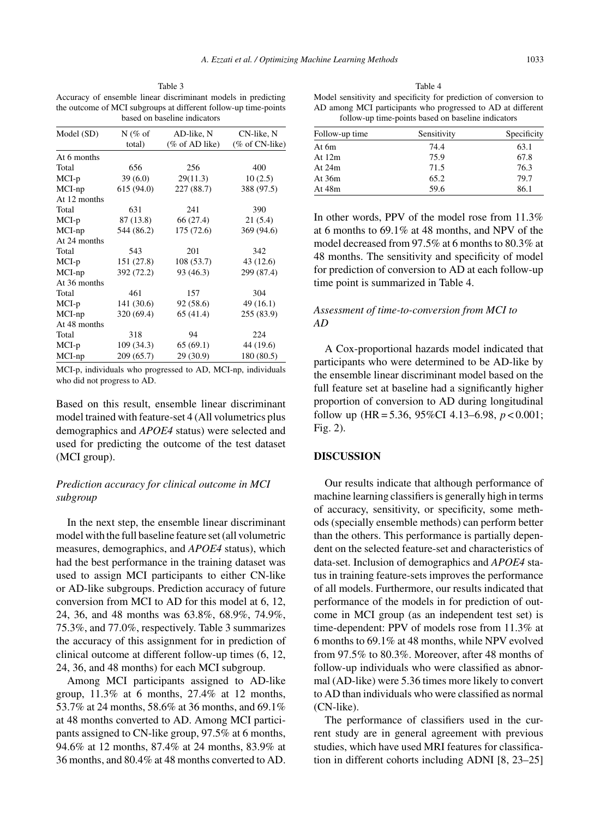Table 3 Accuracy of ensemble linear discriminant models in predicting the outcome of MCI subgroups at different follow-up time-points based on baseline indicators

| Model (SD)   | $N$ (% of  | AD-like, N     | CN-like, N     |
|--------------|------------|----------------|----------------|
|              | total)     | (% of AD like) | (% of CN-like) |
| At 6 months  |            |                |                |
| Total        | 656        | 256            | 400            |
| MCI-p        | 39(6.0)    | 29(11.3)       | 10(2.5)        |
| MCI-np       | 615(94.0)  | 227 (88.7)     | 388 (97.5)     |
| At 12 months |            |                |                |
| Total        | 631        | 241            | 390            |
| MCI-p        | 87 (13.8)  | 66 (27.4)      | 21(5.4)        |
| MCI-np       | 544 (86.2) | 175 (72.6)     | 369 (94.6)     |
| At 24 months |            |                |                |
| Total        | 543        | 201            | 342            |
| MCI-p        | 151 (27.8) | 108 (53.7)     | 43 (12.6)      |
| MCI-np       | 392 (72.2) | 93 (46.3)      | 299 (87.4)     |
| At 36 months |            |                |                |
| Total        | 461        | 157            | 304            |
| MCI-p        | 141 (30.6) | 92 (58.6)      | 49(16.1)       |
| MCI-np       | 320 (69.4) | 65(41.4)       | 255 (83.9)     |
| At 48 months |            |                |                |
| Total        | 318        | 94             | 224            |
| MCI-p        | 109(34.3)  | 65(69.1)       | 44 (19.6)      |
| MCI-np       | 209(65.7)  | 29 (30.9)      | 180 (80.5)     |

MCI-p, individuals who progressed to AD, MCI-np, individuals who did not progress to AD.

Based on this result, ensemble linear discriminant model trained with feature-set 4 (All volumetrics plus demographics and *APOE4* status) were selected and used for predicting the outcome of the test dataset (MCI group).

# *Prediction accuracy for clinical outcome in MCI subgroup*

In the next step, the ensemble linear discriminant model with the full baseline feature set (all volumetric measures, demographics, and *APOE4* status), which had the best performance in the training dataset was used to assign MCI participants to either CN-like or AD-like subgroups. Prediction accuracy of future conversion from MCI to AD for this model at 6, 12, 24, 36, and 48 months was 63.8%, 68.9%, 74.9%, 75.3%, and 77.0%, respectively. Table 3 summarizes the accuracy of this assignment for in prediction of clinical outcome at different follow-up times (6, 12, 24, 36, and 48 months) for each MCI subgroup.

Among MCI participants assigned to AD-like group, 11.3% at 6 months, 27.4% at 12 months, 53.7% at 24 months, 58.6% at 36 months, and 69.1% at 48 months converted to AD. Among MCI participants assigned to CN-like group, 97.5% at 6 months, 94.6% at 12 months, 87.4% at 24 months, 83.9% at 36 months, and 80.4% at 48 months converted to AD.

Table 4 Model sensitivity and specificity for prediction of conversion to AD among MCI participants who progressed to AD at different follow-up time-points based on baseline indicators

| Follow-up time | Sensitivity | Specificity |  |
|----------------|-------------|-------------|--|
| At 6m          | 74.4        | 63.1        |  |
| At $12m$       | 75.9        | 67.8        |  |
| At $24m$       | 71.5        | 76.3        |  |
| At $36m$       | 65.2        | 79.7        |  |
| At $48m$       | 59.6        | 86.1        |  |

In other words, PPV of the model rose from 11.3% at 6 months to 69.1% at 48 months, and NPV of the model decreased from 97.5% at 6 months to 80.3% at 48 months. The sensitivity and specificity of model for prediction of conversion to AD at each follow-up time point is summarized in Table 4.

# *Assessment of time-to-conversion from MCI to AD*

A Cox-proportional hazards model indicated that participants who were determined to be AD-like by the ensemble linear discriminant model based on the full feature set at baseline had a significantly higher proportion of conversion to AD during longitudinal follow up (HR = 5.36, 95%CI 4.13–6.98, *p* < 0.001; Fig. 2).

# **DISCUSSION**

Our results indicate that although performance of machine learning classifiers is generally high in terms of accuracy, sensitivity, or specificity, some methods (specially ensemble methods) can perform better than the others. This performance is partially dependent on the selected feature-set and characteristics of data-set. Inclusion of demographics and *APOE4* status in training feature-sets improves the performance of all models. Furthermore, our results indicated that performance of the models in for prediction of outcome in MCI group (as an independent test set) is time-dependent: PPV of models rose from 11.3% at 6 months to 69.1% at 48 months, while NPV evolved from 97.5% to 80.3%. Moreover, after 48 months of follow-up individuals who were classified as abnormal (AD-like) were 5.36 times more likely to convert to AD than individuals who were classified as normal (CN-like).

The performance of classifiers used in the current study are in general agreement with previous studies, which have used MRI features for classification in different cohorts including ADNI [8, 23–25]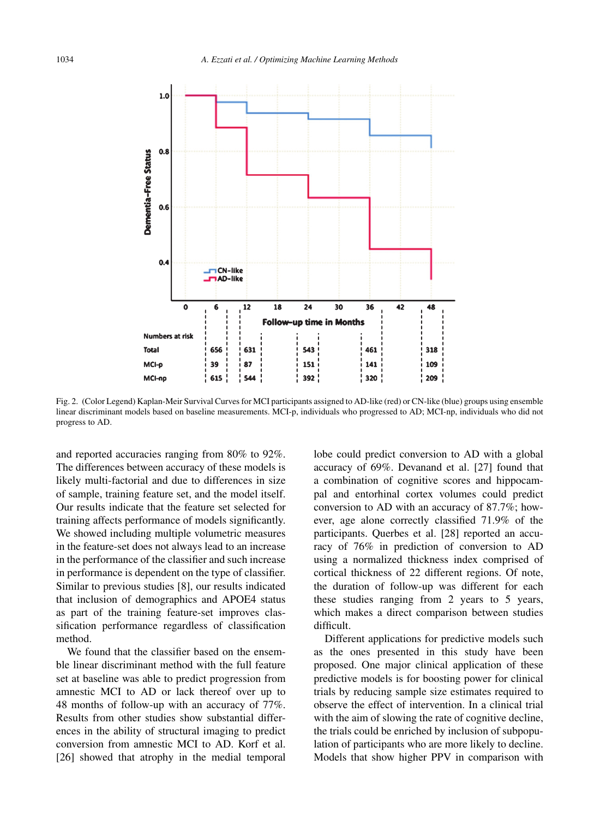

Fig. 2. (Color Legend) Kaplan-Meir Survival Curves for MCI participants assigned to AD-like (red) or CN-like (blue) groups using ensemble linear discriminant models based on baseline measurements. MCI-p, individuals who progressed to AD; MCI-np, individuals who did not progress to AD.

and reported accuracies ranging from 80% to 92%. The differences between accuracy of these models is likely multi-factorial and due to differences in size of sample, training feature set, and the model itself. Our results indicate that the feature set selected for training affects performance of models significantly. We showed including multiple volumetric measures in the feature-set does not always lead to an increase in the performance of the classifier and such increase in performance is dependent on the type of classifier. Similar to previous studies [8], our results indicated that inclusion of demographics and APOE4 status as part of the training feature-set improves classification performance regardless of classification method.

We found that the classifier based on the ensemble linear discriminant method with the full feature set at baseline was able to predict progression from amnestic MCI to AD or lack thereof over up to 48 months of follow-up with an accuracy of 77%. Results from other studies show substantial differences in the ability of structural imaging to predict conversion from amnestic MCI to AD. Korf et al. [26] showed that atrophy in the medial temporal lobe could predict conversion to AD with a global accuracy of 69%. Devanand et al. [27] found that a combination of cognitive scores and hippocampal and entorhinal cortex volumes could predict conversion to AD with an accuracy of 87.7%; however, age alone correctly classified 71.9% of the participants. Querbes et al. [28] reported an accuracy of 76% in prediction of conversion to AD using a normalized thickness index comprised of cortical thickness of 22 different regions. Of note, the duration of follow-up was different for each these studies ranging from 2 years to 5 years, which makes a direct comparison between studies difficult.

Different applications for predictive models such as the ones presented in this study have been proposed. One major clinical application of these predictive models is for boosting power for clinical trials by reducing sample size estimates required to observe the effect of intervention. In a clinical trial with the aim of slowing the rate of cognitive decline, the trials could be enriched by inclusion of subpopulation of participants who are more likely to decline. Models that show higher PPV in comparison with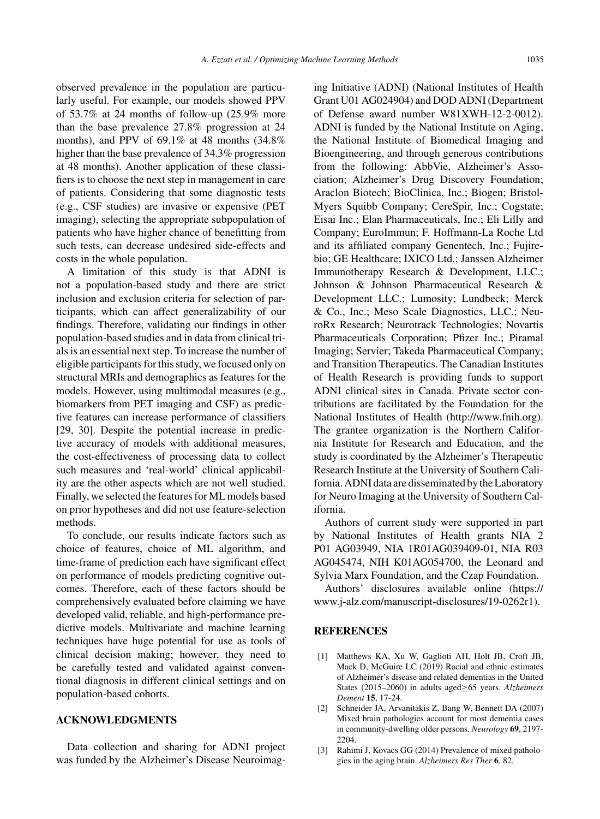observed prevalence in the population are particularly useful. For example, our models showed PPV of 53.7% at 24 months of follow-up (25.9% more than the base prevalence 27.8% progression at 24 months), and PPV of 69.1% at 48 months (34.8% higher than the base prevalence of 34.3% progression at 48 months). Another application of these classifiers is to choose the next step in management in care of patients. Considering that some diagnostic tests (e.g., CSF studies) are invasive or expensive (PET imaging), selecting the appropriate subpopulation of patients who have higher chance of benefitting from such tests, can decrease undesired side-effects and costs in the whole population.

A limitation of this study is that ADNI is not a population-based study and there are strict inclusion and exclusion criteria for selection of participants, which can affect generalizability of our findings. Therefore, validating our findings in other population-based studies and in data from clinical trials is an essential next step. To increase the number of eligible participants for this study, we focused only on structural MRIs and demographics as features for the models. However, using multimodal measures (e.g., biomarkers from PET imaging and CSF) as predictive features can increase performance of classifiers [29, 30]. Despite the potential increase in predictive accuracy of models with additional measures, the cost-effectiveness of processing data to collect such measures and 'real-world' clinical applicability are the other aspects which are not well studied. Finally, we selected the features for ML models based on prior hypotheses and did not use feature-selection methods.

To conclude, our results indicate factors such as choice of features, choice of ML algorithm, and time-frame of prediction each have significant effect on performance of models predicting cognitive outcomes. Therefore, each of these factors should be comprehensively evaluated before claiming we have developed valid, reliable, and high-performance predictive models. Multivariate and machine learning techniques have huge potential for use as tools of clinical decision making; however, they need to be carefully tested and validated against conventional diagnosis in different clinical settings and on population-based cohorts.

# **ACKNOWLEDGMENTS**

Data collection and sharing for ADNI project was funded by the Alzheimer's Disease Neuroimaging Initiative (ADNI) (National Institutes of Health Grant U01 AG024904) and DOD ADNI (Department of Defense award number W81XWH-12-2-0012). ADNI is funded by the National Institute on Aging, the National Institute of Biomedical Imaging and Bioengineering, and through generous contributions from the following: AbbVie, Alzheimer's Association; Alzheimer's Drug Discovery Foundation; Araclon Biotech; BioClinica, Inc.; Biogen; Bristol-Myers Squibb Company; CereSpir, Inc.; Cogstate; Eisai Inc.; Elan Pharmaceuticals, Inc.; Eli Lilly and Company; EuroImmun; F. Hoffmann-La Roche Ltd and its affiliated company Genentech, Inc.; Fujirebio; GE Healthcare; IXICO Ltd.; Janssen Alzheimer Immunotherapy Research & Development, LLC.; Johnson & Johnson Pharmaceutical Research & Development LLC.; Lumosity; Lundbeck; Merck & Co., Inc.; Meso Scale Diagnostics, LLC.; NeuroRx Research; Neurotrack Technologies; Novartis Pharmaceuticals Corporation; Pfizer Inc.; Piramal Imaging; Servier; Takeda Pharmaceutical Company; and Transition Therapeutics. The Canadian Institutes of Health Research is providing funds to support ADNI clinical sites in Canada. Private sector contributions are facilitated by the Foundation for the National Institutes of Health [\(http://www.fnih.org](http://www.fnih.org)). The grantee organization is the Northern California Institute for Research and Education, and the study is coordinated by the Alzheimer's Therapeutic Research Institute at the University of Southern California. ADNI data are disseminated by the Laboratory for Neuro Imaging at the University of Southern California.

Authors of current study were supported in part by National Institutes of Health grants NIA 2 P01 AG03949, NIA 1R01AG039409-01, NIA R03 AG045474, NIH K01AG054700, the Leonard and Sylvia Marx Foundation, and the Czap Foundation.

Authors' disclosures available online [\(https://](https://www.j-alz.com/manuscript-disclosures/19-0262r1) www.j-alz.com/manuscript-disclosures/19-0262r1).

## **REFERENCES**

- [1] Matthews KA, Xu W, Gaglioti AH, Holt JB, Croft JB, Mack D, McGuire LC (2019) Racial and ethnic estimates of Alzheimer's disease and related dementias in the United States (2015–2060) in adults aged≥65 years. *Alzheimers Dement* **15**, 17-24.
- [2] Schneider JA, Arvanitakis Z, Bang W, Bennett DA (2007) Mixed brain pathologies account for most dementia cases in community-dwelling older persons. *Neurology* **69**, 2197- 2204.
- [3] Rahimi J, Kovacs GG (2014) Prevalence of mixed pathologies in the aging brain. *Alzheimers Res Ther* **6**, 82.